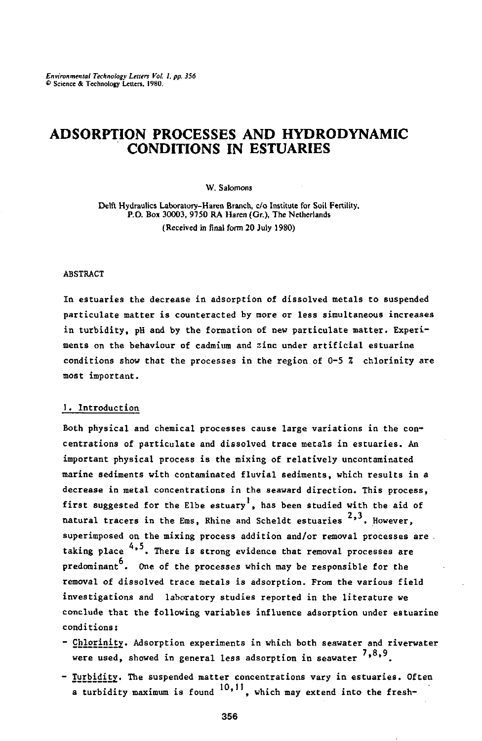# **ADSORPTION PROCESSES AND HYDRO DYNAMIC CONDITIONS IN ESTUARIES**

W. Salomons

Delft Hydraulics Laboratory-Haren Branch, c/o Institute for Soil Fertility, P.O. Box 30003, 9750 RA Haren (Gr.), The Netherlands (Received in final form 20 July 1980)

#### ABSTRACT

In estuaries the decrease in adsorption of dissolved metals to suspended particulate matter is counteracted by more or less simultaneous increases in turbidity, pH and by the formation of new particulate matter. Experiments on the behaviour of cadmium and zinc under artificial estuarine conditions show that the processes in the region of  $0-5$   $\tilde{\lambda}$  chlorinity are most important.

## 1. Introduction

Both physical and chemical processes cause large variations in the concentrations of particulate and dissolved trace metals in estuaries. An important physical process is the mixing of relatively uncontaminated marine sediments with contaminated fluvial sediments, which results in a decrease in metal concentrations in the seaward direction. This process, first suggested for the Elbe estuary<sup>1</sup>, has been studied with the aid of natural tracers in the Ems, Rhine and Scheldt estuaries <sup>2,</sup> superimposed on the mixing process addition and/or removal processes are . taking place  $4,5$ . There is strong evidence that removal processes are predominant<sup>b</sup>. One of the processes which may be responsible for the removal of dissolved trace metals is adsorption. From the various field investigations and laboratory studies reported in the literature we conclude that the following variables influence adsorption under estuarine conditions:

- Chlorinity. Adsorption experiments in which both seawater and riverwater were used, showed in general less adsorption in seawater  $^{\text{7,8}}$
- <u>Turbidit</u>y. The suspended matter concentrations vary in estuari a turbidity maximum is found  $10, 11$ , which may extend into the fresh-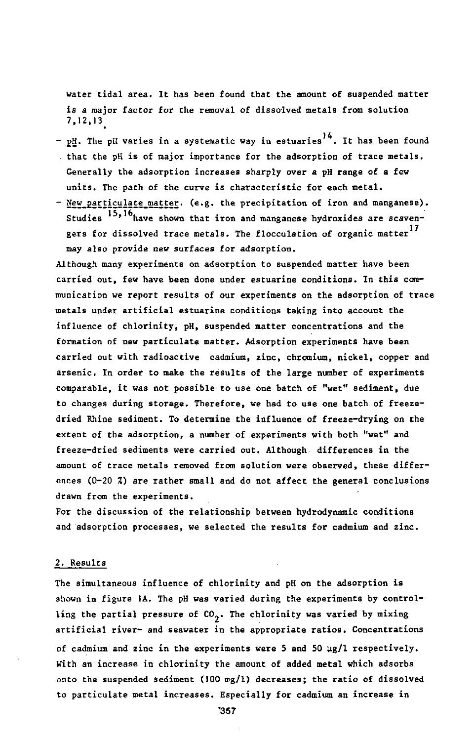water tidal area. It has been found that the amount of suspended matter is a major factor for the removal of dissolved metals from solution 7,12,13^

- pH. The pH varies in a systematic way in estuaries  $^{14}$ . It that the pH is of major importance for the adsorption of trace metals. Generally the adsorption increases sharply over a pH range of a few units. The path of the curve is chatacteristic for each metal.
- New particulate matter. (e.g. the precipitation of iron and manganese). Studies '<sup>3,' U</sup>have shown that iron and manganese hydroxides are scavengers for dissolved trace metals. The flocculation of organic matter<sup>17</sup> may also provide new surfaces for adsorption.

Although many experiments on adsorption to suspended matter have been carried out, few have been done under estuarine conditions. In this communication we report results of our experiments on the adsorption of trace metals under artificial estuarine conditions taking into account the influence of chlorinity, pH, suspended matter concentrations and the formation of new particulate matter. Adsorption experiments have been carried out with radioactive cadmium, zinc, chromium, nickel, copper and arsenic. In order to make the results of the large number of experiments comparable, it was not possible to use one batch of "wet" sediment, due to changes during storage. Therefore, we had to use one batch of freezedried Rhine sediment. To determine the influence of freeze-drying on the extent of the adsorption, a number of experiments with both "wet" and freeze-dried sediments were carried out. Although differences in the amount of trace metals removed from solution were observed, these differences (0-20 %) are rather small and do not affect the general conclusions drawn from the experiments.

For the discussion of the relationship between hydrodynamic conditions and 'adsorption processes, we selected the results for cadmium and zinc.

#### 2. Results

The simultaneous influence of chlorinity and pH on the adsorption is shown in figure 1A. The pH was varied during the experiments by controlling the partial pressure of  $CO_2$ . The chlorinity was varied by mixing artificial river- and seawater in the appropriate ratios. Concentrations of cadmium and zinc in the experiments were 5 and 50  $\mu$ g/1 respectively. With an increase in chlorinity the amount of added metal which adsorbs onto the suspended sediment (100 mg/1) decreases; the ratio of dissolved to particulate metal increases. Especially for cadmium an increase in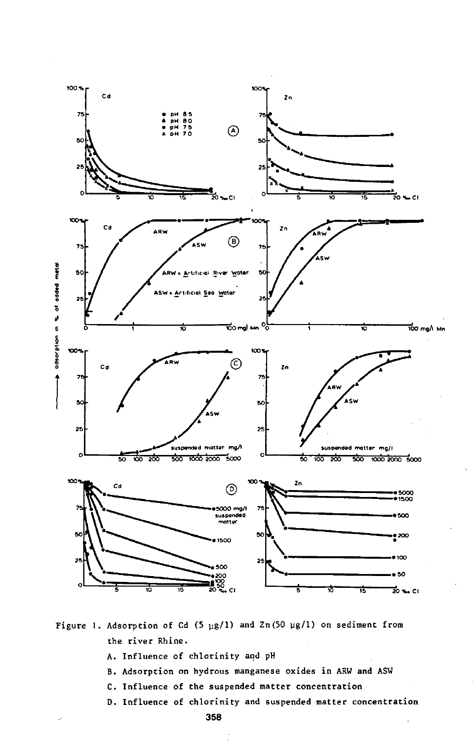

Figure 1. Adsorption of Cd (5  $\mu$ g/1) and Zn(50  $\mu$ g/1) on sediment from the river Rhine.

- A. Influence of chlorinity and pH
- B. Adsorption on hydrous manganese oxides in ARW and ASW
- C. Influence of the suspended matter concentration
- D. Influence of chlorinity and suspended matter concentration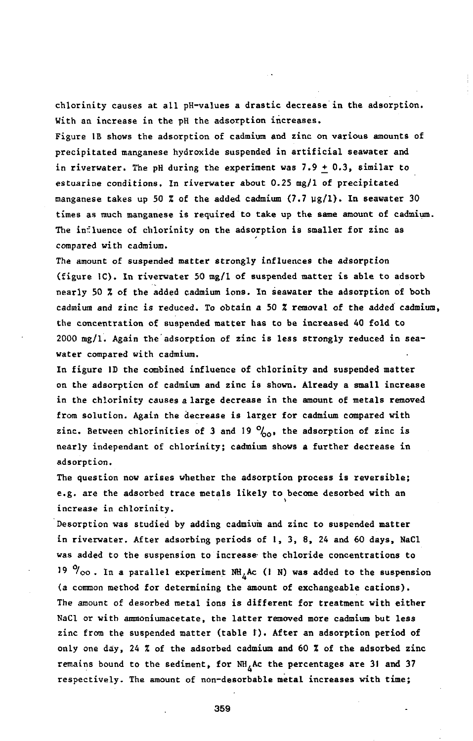chlorinity causes at all pH-values a drastic decrease in the adsorption. With an increase in the pH the adsorption increases.

Figure IB shows the adsorption of cadmium and zinc on various amounts of precipitated manganese hydroxide suspended in artificial seawater and in riverwater. The pH during the experiment was  $7.9 + 0.3$ , similar to estuarine conditions. In riverwater about 0.25 mg/1 of precipitated manganese takes up 50 % of the added cadmium  $(7.7 \text{ }\mu\text{g}/1)$ . In seawater 30 times as much manganese is required to take up the same amount of cadmium. The influence of chlorinity on the adsorption is smaller for zinc as compared with cadmium.

The amount of suspended matter strongly influences the adsorption (figure 1C). In riverwater 50 mg/1 of suspended matter is able to adsorb nearly 50 % of the added cadmium ions. In seawater the adsorption of both cadmium and zinc is reduced. To obtain a 50 % removal of the added cadmium, the concentration of suspended matter has to be increased 40 fold to 2000 mg/1. Again the adsorption of zinc is less strongly reduced in seawater compared with cadmium.

In figure ID the combined influence of chlorinity and suspended matter on the adsorption of cadmium and zinc is shown. Already a small increase in the chlorinity causes a large decrease in the amount of metals removed from solution. Again the decrease is larger for cadmium compared with zinc. Between chlorinities of 3 and 19 *°/0Q,* the adsorption of zinc is nearly independant of chlorinity; cadmium shows a further decrease in adsorption.

The question now arises whether the adsorption process is reversible; e.g. are the adsorbed trace metals likely to become desorbed with an increase in chlorinity.

Desorption was studied by adding cadmium and zinc to suspended matter in riverwater. After adsorbing periods of 1, 3, 8, 24 and 60 days, NaCl was added to the suspension to increase- the chloride concentrations to <sup>19  $\%$ </sup>oo. In a parallel experiment NH<sub>4</sub>Ac (1 N) was added to the suspension (a common method for determining the amount of exchangeable cations). The amount of desorbed metal ions is different for treatment with either NaCl or with ammoniumacetate, the latter removed more cadmium but less zinc from the suspended matter (table 1). After an adsorption period of only one day, 24 % of the adsorbed cadmium and 60 % of the adsorbed zinc remains bound to the sediment, for  $NH_A$ Ac the percentages are 31 and 37 respectively. The amount of non-desorbable metal increases with time;

359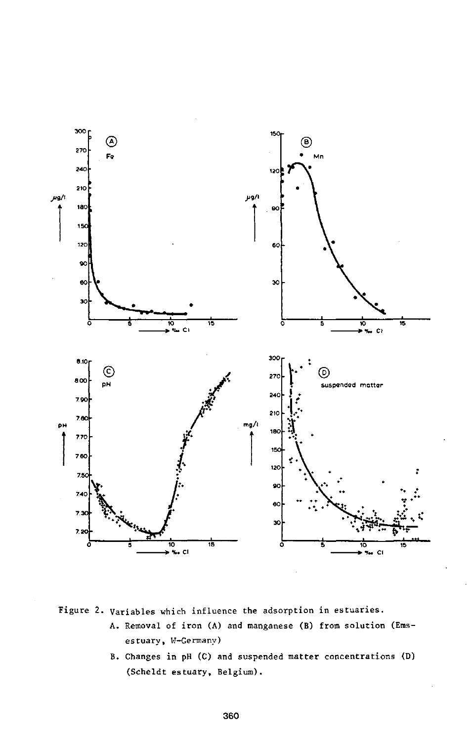

Figure 2. Variables which influence the adsorption in estuaries.

- A. Removal of iron (A) and manganese (B) from solution (Emsestuary, W-Germany)
	- B. Changes in pH (C) and suspended matter concentrations (D) (Scheldt estuary, Belgium).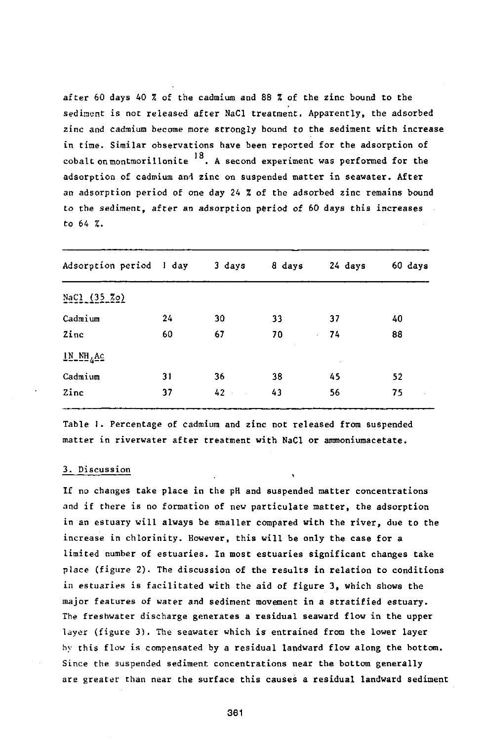after 60 days 40 % of the cadmium and 88 % of the zinc bound to the sediment is not released after NaCl treatment. Apparently, the adsorbed zinc and cadmium become more strongly bound to the sediment with increase in time. Similar observations have been reported for the adsorption of cobalt on montmorillonite  $18$ . A second experiment was performed for the coedit on montmorillonitie . A second experiment was performed adsorption of cadmium and zinc on suspended matter in seawater. After an adsorption period of one day 24 % of the adsorbed zinc remains bound to the sediment, after an adsorption period of 60 days this increases to 64 %.

| Adsorption period I day |    | 3 days | 8 days | 24 days            | 60 days       |
|-------------------------|----|--------|--------|--------------------|---------------|
| NaCl (35 %o)            |    |        |        |                    |               |
| Cadmium                 | 24 | 30     | 33     | 37                 | 40            |
| Zinc                    | 60 | 67     | 70     | 74<br>$\mathbf{r}$ | 88            |
| $1N_MH_4AC$             |    |        |        | $\cdot$            |               |
| Cadmium                 | 31 | 36     | 38     | 45                 | 52            |
| Zinc                    | 37 | $42 -$ | 43     | 56                 | 75<br>$\cdot$ |

Table 1. Percentage of cadmium and zinc not released from suspended matter in riverwater after treatment with NaCl or ammoniumacetate.

### 3. Discussion

If no changes take place in the pH and suspended matter concentrations and if there is no formation of new particulate matter, the adsorption in an estuary will always be smaller compared with the river, due to the increase in chlorinity. However, this will be only the case for a limited number of estuaries. In most estuaries significant changes take place (figure 2). The discussion of the results in relation to conditions in estuaries is facilitated with the aid of figure 3, which shows the major features of water and sediment movement in a stratified estuary. The freshwater discharge generates a residual seaward flow in the upper layer (figure 3). The seawater which is entrained from the lower layer by this flow is compensated by a residual landward flow along the bottom. Since the suspended sediment concentrations near the bottom generally are greater than near the surface this causes a residual landward sediment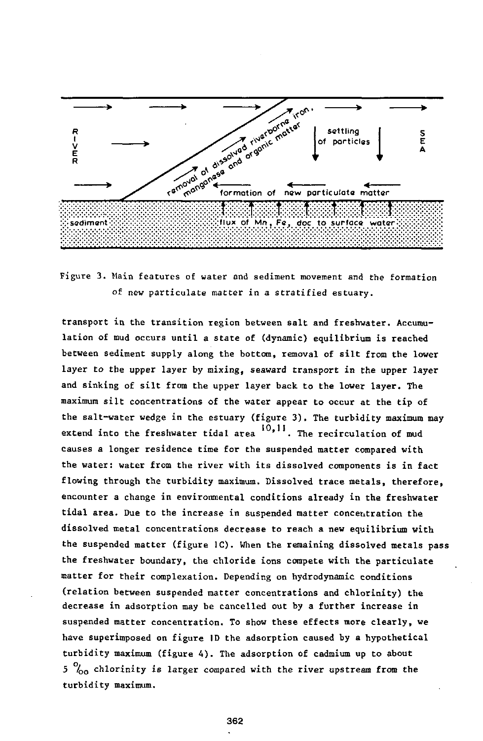

Figure 3. Main features of water and sediment movement and the formation of new particulate matter in a stratified estuary.

transport in the transition region between salt and freshwater. Accumulation of mud occurs until a state of (dynamic) equilibrium is reached between sediment supply along the bottom, removal of silt from the lower layer to the upper layer by mixing, seaward transport in the upper layer and sinking of silt from the upper layer back to the lower layer. The maximum silt concentrations of the water appear to occur at the tip of the salt-water wedge in the estuary (figure 3). The turbidity maximum may extend into the freshwater tidal area  $10,11$ . The recirculation of mud causes a longer residence time for the suspended matter compared with the water: water from the river with its dissolved components is in fact flowing through the turbidity maximum. Dissolved trace metals, therefore, encounter a change in environmental conditions already in the freshwater tidal area. Due to the increase in suspended matter concentration the dissolved metal concentrations decrease to reach a new equilibrium with the suspended matter (figure 1C). When the remaining dissolved metals pass the freshwater boundary, the chloride ions compete with the particulate matter for their complexation. Depending on hydrodynamic conditions (relation between suspended matter concentrations and chlorinity) the decrease in adsorption may be cancelled out by a further increase in suspended matter concentration. To show these effects more clearly, we have superimposed on figure ID the adsorption caused by a hypothetical turbidity maximum (figure A). The adsorption of cadmium up to about 5 *l00* chlorinity is larger compared with the river upstream from the turbidity maximum.

362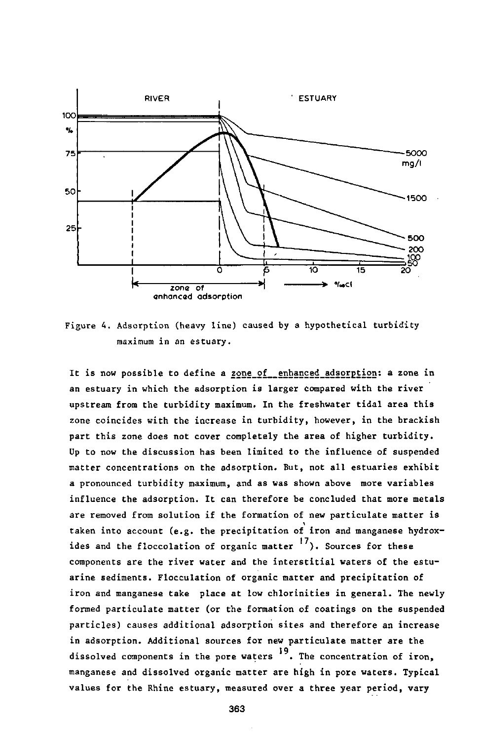

Figure 4. Adsorption (heavy line) caused by a hypothetical turbidity maximum in an estuary.

It is now possible to define a zone of enhanced adsorption: a zone in an estuary in which the adsorption is larger compared with the river upstream from the turbidity maximum. In the freshwater tidal area this zone coincides with the increase in turbidity, however, in the brackish part this zone does not cover completely the area of higher turbidity. Up to now the discussion has been limited to the influence of suspended matter concentrations on the adsorption. But, not all estuaries exhibit a pronounced turbidity maximum, and as was shown above more variables influence the adsorption. It can therefore be concluded that more metals are removed from solution if the formation of new particulate matter is taken into account (e.g. the precipitation of iron and manganese hydroxides and the floccolation of organic matter  $\frac{17}{10}$ . Sources for these components are the river water and the interstitial waters of the estuarine sediments. Flocculation of organic matter and precipitation of iron and manganese take place at low chlorinities in general. The newly formed particulate matter (or the formation of coatings on the suspended particles) causes additional adsorption sites and therefore an increase in adsorption. Additional sources for new particulate matter are the dissolved components in the pore waters <sup>19</sup>. The concentration of iron. manganese and dissolved organic matter are high in pore waters. Typical values for the Rhine estuary, measured over a three year period, vary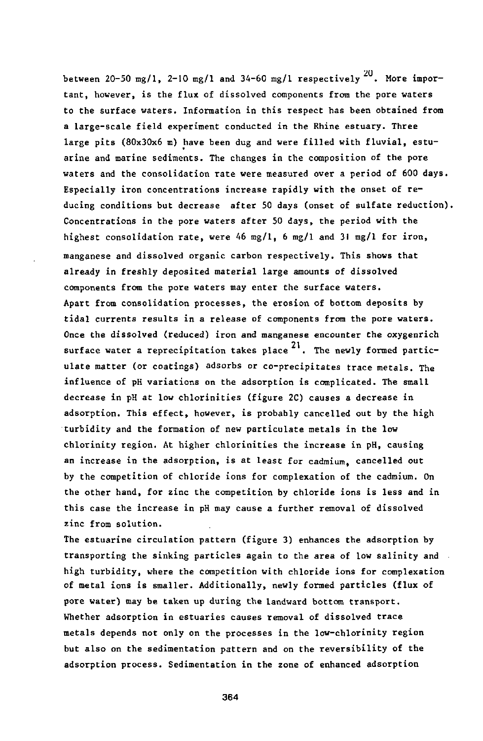between 20-50 mg/1, 2-10 mg/1 and 34-60 mg/1 respectively  $^{20}$ . More important, however, is the flux of dissolved components from the pore waters to the surface waters. Information in this respect has been obtained from a large-scale field experiment conducted in the Rhine estuary. Three large pits (80x30x6 m) have been dug and were filled with fluvial, estuarine and marine sediments. The changes in the composition of the pore waters and the consolidation rate were measured over a period of 600 days. Especially iron concentrations increase rapidly with the onset of reducing conditions but decrease after 50 days (onset of sulfate reduction). Concentrations in the pore waters after 50 days, the period with the highest consolidation rate, were 46 mg/1, 6 mg/1 and 31 mg/1 for iron, manganese and dissolved organic carbon respectively. This shows that already in freshly deposited material large amounts of dissolved components from the pore waters may enter the surface waters. Apart from consolidation processes, the erosion of bottom deposits by tidal currents results in a release of components from the pore waters. Once the dissolved (reduced) iron and manganese encounter the oxygenrich surface water a reprecipitation takes place  $21$ . The newly formed particulate matter (or coatings) adsorbs or co-precipitates trace metals. The influence of pH variations on the adsorption is complicated. The small decrease in pH at low chlorinities (figure 2C) causes a decrease in adsorption. This effect, however, is probably cancelled out by the high turbidity and the formation of new particulate metals in the low chlorinity region. At higher chlorinities the increase in pH, causing an increase in the adsorption, is at least for cadmium, cancelled out by the competition of chloride ions for complexation of the cadmium. On the other hand, for zinc the competition by chloride ions is less and in this case the increase in pH may cause a further removal of dissolved zinc from solution.

The estuarine circulation pattern (figure 3) enhances the adsorption by transporting the sinking particles again to the area of low salinity and high turbidity, where the competition with chloride ions for complexation  $\mathbf{r}$  turbidity, where the complexation with characteristic ions for complexation with characteristic ions for complexation  $\mathbf{r}$ of metal ions is smaller. Additionally, newly formed particles (flux of pore water) may be taken up during the landward bottom transport. Whether adsorption in estuaries causes removal of dissolved trace metals depends not only on the processes in the low-chlorinity region but also on the sedimentation pattern and on the reversibility of the adsorption process. Sedimentation in the zone of enhanced adsorption

364